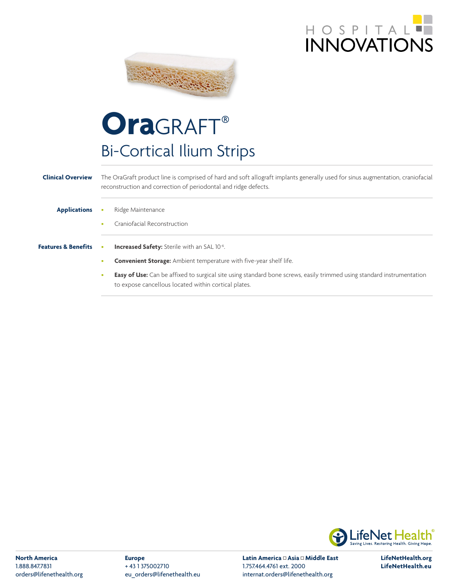



## OraGRAFT® Bi-Cortical Ilium Strips

## **Clinical Overview** The OraGraft product line is comprised of hard and soft allograft implants generally used for sinus augmentation, craniofacial reconstruction and correction of periodontal and ridge defects. **Applications** • Ridge Maintenance • Craniofacial Reconstruction **Features & Benefits • Increased Safety:** Sterile with an SAL 10<sup>-6</sup>. • **Convenient Storage:** Ambient temperature with five-year shelf life. **Easy of Use:** Can be affixed to surgical site using standard bone screws, easily trimmed using standard instrumentation

to expose cancellous located within cortical plates.



**North America** 1.888.847.7831 orders@lifenethealth.org **Europe** + 43 1 375002710 eu\_orders@lifenethealth.eu Latin America <sup>II</sup> Asia <sup>II</sup> Middle East 1.757.464.4761 ext. 2000 internat.orders@lifenethealth.org

**LifeNetHealth.org LifeNetHealth.eu**